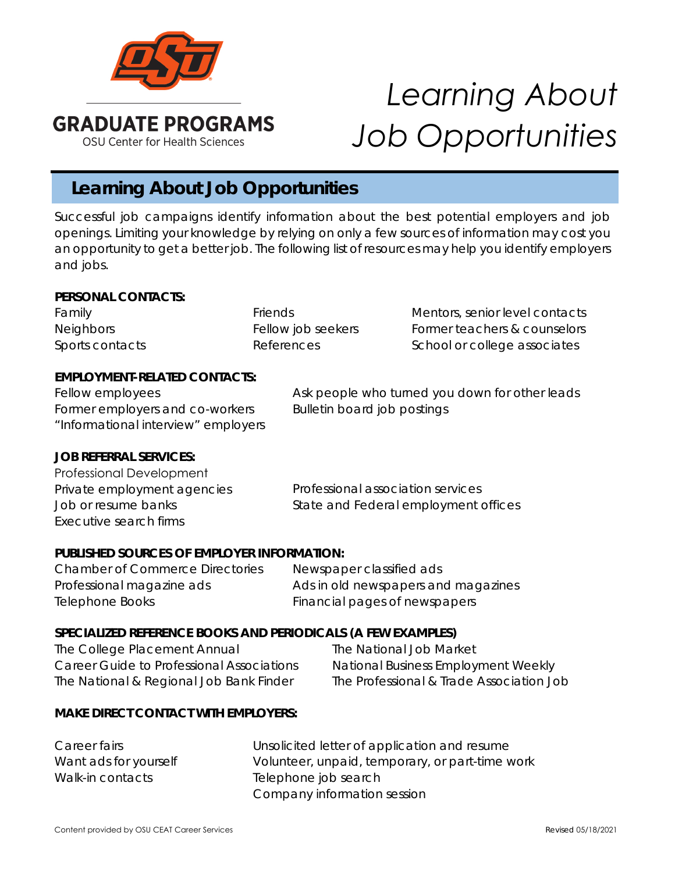

# *Learning About Job Opportunities*

# **Learning About Job Opportunities**

Successful job campaigns identify information about the best potential employers and job openings. Limiting your knowledge by relying on only a few sources of information may cost you an opportunity to get a better job. The following list of resources may help you identify employers and jobs.

#### *PERSONAL CONTACTS:*

Family **Friends** Friends Mentors, senior level contacts Neighbors Fellow job seekers Former teachers & counselors Former teachers & counselors Sports contacts The References Contacts References School or college associates

## *EMPLOYMENT-RELATED CONTACTS:*

Fellow employees Former employers and co-workers "Informational interview" employers Ask people who turned you down for other leads Bulletin board job postings

#### *JOB REFERRAL SERVICES:*

Professional association services State and Federal employment offices Professional Development Private employment agencies Job or resume banks Executive search firms

#### *PUBLISHED SOURCES OF EMPLOYER INFORMATION:*

Chamber of Commerce Directories Newspaper classified ads Professional magazine ads **Ads in old newspapers and magazines** Telephone Books Financial pages of newspapers

# *SPECIALIZED REFERENCE BOOKS AND PERIODICALS (A FEW EXAMPLES)*

*The College Placement Annual Career Guide to Professional Associations The National & Regional Job Bank Finder* 

*The National Job Market National Business Employment Weekly The Professional & Trade Association Job*

#### *MAKE DIRECT CONTACT WITH EMPLOYERS:*

| Career fairs          | Unsolicited letter of application and resume    |
|-----------------------|-------------------------------------------------|
| Want ads for yourself | Volunteer, unpaid, temporary, or part-time work |
| Walk-in contacts      | Telephone job search                            |
|                       | Company information session                     |